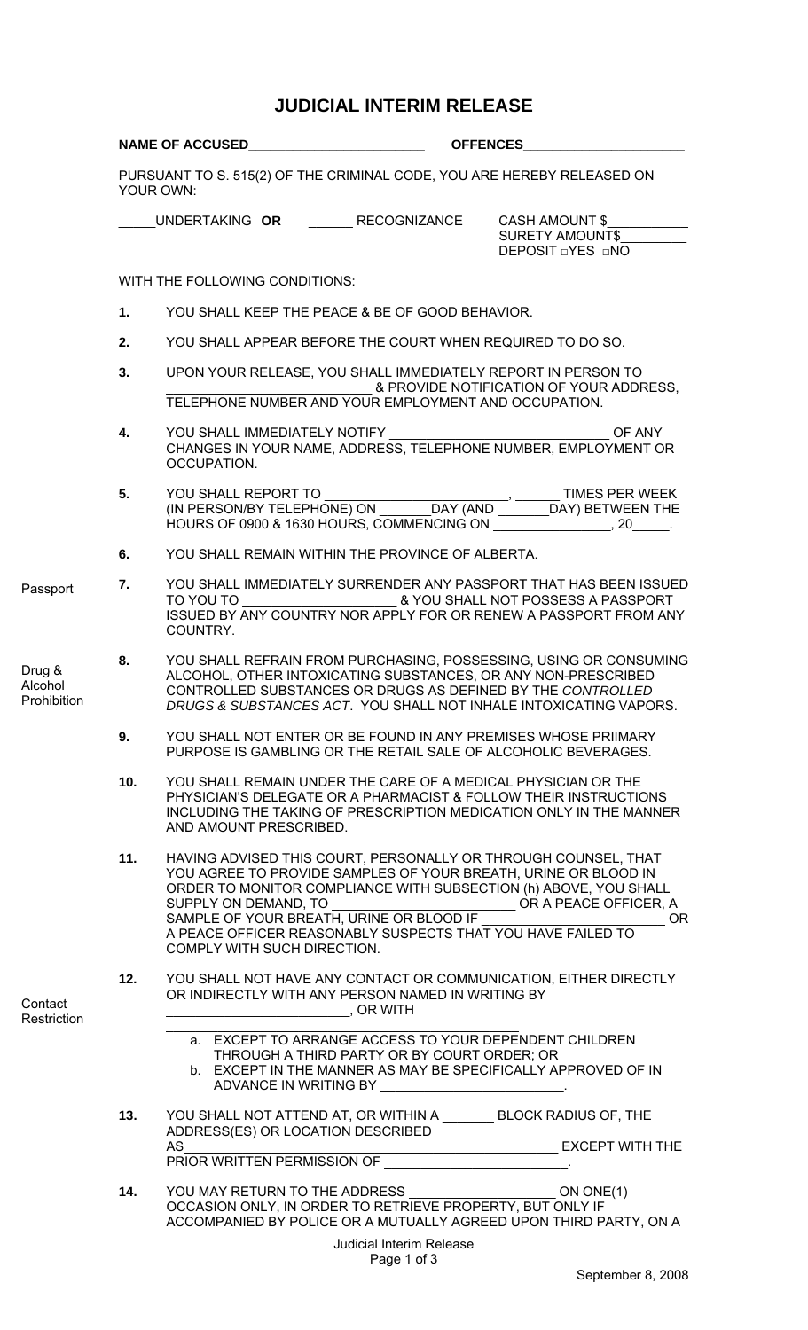## **JUDICIAL INTERIM RELEASE**

|                                  |           |                                                                                                                      | NAME OF ACCUSED <b>CONSECTED</b> OFFENCES                                                          |                                                                                                                                                                                                                                                                                                     |
|----------------------------------|-----------|----------------------------------------------------------------------------------------------------------------------|----------------------------------------------------------------------------------------------------|-----------------------------------------------------------------------------------------------------------------------------------------------------------------------------------------------------------------------------------------------------------------------------------------------------|
|                                  | YOUR OWN: |                                                                                                                      |                                                                                                    | PURSUANT TO S. 515(2) OF THE CRIMINAL CODE, YOU ARE HEREBY RELEASED ON                                                                                                                                                                                                                              |
|                                  |           |                                                                                                                      | UNDERTAKING OR RECOGNIZANCE                                                                        | <b>CASH AMOUNT \$</b><br><b>SURETY AMOUNT\$</b><br>DEPOSIT <b>DYES</b> DNO                                                                                                                                                                                                                          |
|                                  |           | WITH THE FOLLOWING CONDITIONS:                                                                                       |                                                                                                    |                                                                                                                                                                                                                                                                                                     |
|                                  | 1.        |                                                                                                                      | YOU SHALL KEEP THE PEACE & BE OF GOOD BEHAVIOR.                                                    |                                                                                                                                                                                                                                                                                                     |
|                                  | 2.        |                                                                                                                      |                                                                                                    | YOU SHALL APPEAR BEFORE THE COURT WHEN REQUIRED TO DO SO.                                                                                                                                                                                                                                           |
|                                  | 3.        |                                                                                                                      | TELEPHONE NUMBER AND YOUR EMPLOYMENT AND OCCUPATION.                                               | UPON YOUR RELEASE, YOU SHALL IMMEDIATELY REPORT IN PERSON TO<br>& PROVIDE NOTIFICATION OF YOUR ADDRESS.                                                                                                                                                                                             |
|                                  | 4.        | OCCUPATION.                                                                                                          |                                                                                                    | OF ANY<br>CHANGES IN YOUR NAME, ADDRESS, TELEPHONE NUMBER, EMPLOYMENT OR                                                                                                                                                                                                                            |
|                                  | 5.        |                                                                                                                      |                                                                                                    | HOURS OF 0900 & 1630 HOURS, COMMENCING ON THE MANUSON BOOM COMPANY COMMENCING ON                                                                                                                                                                                                                    |
|                                  | 6.        |                                                                                                                      | YOU SHALL REMAIN WITHIN THE PROVINCE OF ALBERTA.                                                   |                                                                                                                                                                                                                                                                                                     |
| Passport                         | 7.        | COUNTRY.                                                                                                             |                                                                                                    | YOU SHALL IMMEDIATELY SURRENDER ANY PASSPORT THAT HAS BEEN ISSUED<br>ISSUED BY ANY COUNTRY NOR APPLY FOR OR RENEW A PASSPORT FROM ANY                                                                                                                                                               |
| Drug &<br>Alcohol<br>Prohibition | 8.        |                                                                                                                      |                                                                                                    | YOU SHALL REFRAIN FROM PURCHASING, POSSESSING, USING OR CONSUMING<br>ALCOHOL, OTHER INTOXICATING SUBSTANCES, OR ANY NON-PRESCRIBED<br>CONTROLLED SUBSTANCES OR DRUGS AS DEFINED BY THE CONTROLLED<br>DRUGS & SUBSTANCES ACT. YOU SHALL NOT INHALE INTOXICATING VAPORS.                              |
|                                  | 9.        |                                                                                                                      |                                                                                                    | YOU SHALL NOT ENTER OR BE FOUND IN ANY PREMISES WHOSE PRIIMARY<br>PURPOSE IS GAMBLING OR THE RETAIL SALE OF ALCOHOLIC BEVERAGES.                                                                                                                                                                    |
|                                  | 10.       | AND AMOUNT PRESCRIBED.                                                                                               |                                                                                                    | YOU SHALL REMAIN UNDER THE CARE OF A MEDICAL PHYSICIAN OR THE<br>PHYSICIAN'S DELEGATE OR A PHARMACIST & FOLLOW THEIR INSTRUCTIONS<br>INCLUDING THE TAKING OF PRESCRIPTION MEDICATION ONLY IN THE MANNER                                                                                             |
|                                  | 11.       | SUPPLY ON DEMAND, TO<br>COMPLY WITH SUCH DIRECTION.                                                                  | SAMPLE OF YOUR BREATH, URINE OR BLOOD IF                                                           | HAVING ADVISED THIS COURT, PERSONALLY OR THROUGH COUNSEL, THAT<br>YOU AGREE TO PROVIDE SAMPLES OF YOUR BREATH, URINE OR BLOOD IN<br>ORDER TO MONITOR COMPLIANCE WITH SUBSECTION (h) ABOVE, YOU SHALL<br>OR A PEACE OFFICER, A<br>OR.<br>A PEACE OFFICER REASONABLY SUSPECTS THAT YOU HAVE FAILED TO |
| Contact<br>Restriction           | 12.       | <b>Example 19 Server 19 Server 19 Server 19 Server 19 Server 19 Server 19 Server 19 Server 19 Server 19 Server 1</b> | OR INDIRECTLY WITH ANY PERSON NAMED IN WRITING BY                                                  | YOU SHALL NOT HAVE ANY CONTACT OR COMMUNICATION, EITHER DIRECTLY                                                                                                                                                                                                                                    |
|                                  |           |                                                                                                                      | THROUGH A THIRD PARTY OR BY COURT ORDER; OR<br>ADVANCE IN WRITING BY ____________________________. | a. EXCEPT TO ARRANGE ACCESS TO YOUR DEPENDENT CHILDREN<br>b. EXCEPT IN THE MANNER AS MAY BE SPECIFICALLY APPROVED OF IN                                                                                                                                                                             |
|                                  | 13.       |                                                                                                                      | ADDRESS(ES) OR LOCATION DESCRIBED                                                                  | YOU SHALL NOT ATTEND AT, OR WITHIN A ________ BLOCK RADIUS OF, THE                                                                                                                                                                                                                                  |
|                                  |           |                                                                                                                      |                                                                                                    |                                                                                                                                                                                                                                                                                                     |
|                                  | 14.       |                                                                                                                      | OCCASION ONLY, IN ORDER TO RETRIEVE PROPERTY, BUT ONLY IF                                          | YOU MAY RETURN TO THE ADDRESS ON ONC(1)<br>ACCOMPANIED BY POLICE OR A MUTUALLY AGREED UPON THIRD PARTY, ON A                                                                                                                                                                                        |
|                                  |           |                                                                                                                      | <b>Judicial Interim Release</b><br>Page 1 of 3                                                     |                                                                                                                                                                                                                                                                                                     |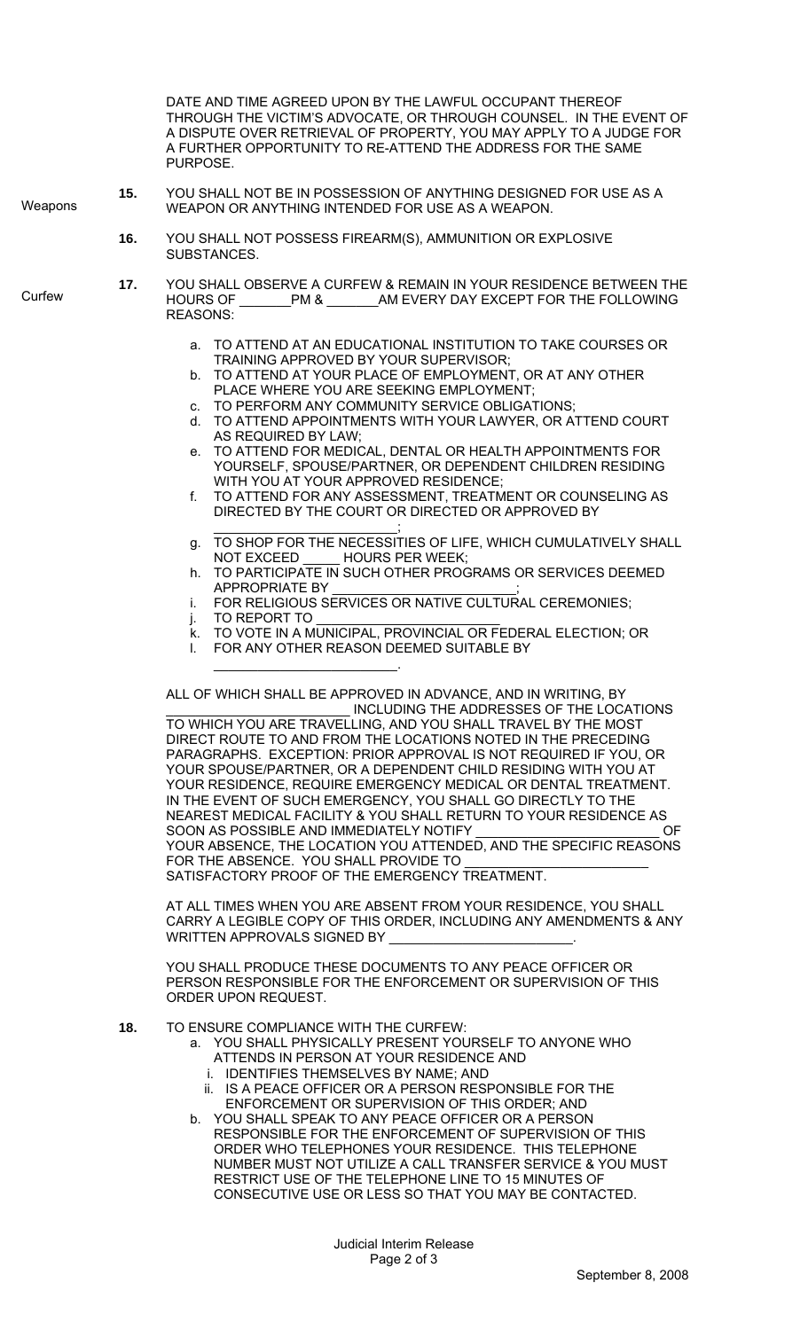DATE AND TIME AGREED UPON BY THE LAWFUL OCCUPANT THEREOF THROUGH THE VICTIM'S ADVOCATE, OR THROUGH COUNSEL. IN THE EVENT OF A DISPUTE OVER RETRIEVAL OF PROPERTY, YOU MAY APPLY TO A JUDGE FOR A FURTHER OPPORTUNITY TO RE-ATTEND THE ADDRESS FOR THE SAME PURPOSE. **15.** YOU SHALL NOT BE IN POSSESSION OF ANYTHING DESIGNED FOR USE AS A WEAPON OR ANYTHING INTENDED FOR USE AS A WEAPON. **16.** YOU SHALL NOT POSSESS FIREARM(S), AMMUNITION OR EXPLOSIVE **SUBSTANCES 17.** YOU SHALL OBSERVE A CURFEW & REMAIN IN YOUR RESIDENCE BETWEEN THE HOURS OF \_\_\_\_\_\_\_PM & \_\_\_\_\_\_\_AM EVERY DAY EXCEPT FOR THE FOLLOWING REASONS: a. TO ATTEND AT AN EDUCATIONAL INSTITUTION TO TAKE COURSES OR TRAINING APPROVED BY YOUR SUPERVISOR; b. TO ATTEND AT YOUR PLACE OF EMPLOYMENT, OR AT ANY OTHER PLACE WHERE YOU ARE SEEKING EMPLOYMENT; c. TO PERFORM ANY COMMUNITY SERVICE OBLIGATIONS; d. TO ATTEND APPOINTMENTS WITH YOUR LAWYER, OR ATTEND COURT AS REQUIRED BY LAW; e. TO ATTEND FOR MEDICAL, DENTAL OR HEALTH APPOINTMENTS FOR YOURSELF, SPOUSE/PARTNER, OR DEPENDENT CHILDREN RESIDING WITH YOU AT YOUR APPROVED RESIDENCE; f. TO ATTEND FOR ANY ASSESSMENT, TREATMENT OR COUNSELING AS DIRECTED BY THE COURT OR DIRECTED OR APPROVED BY \_\_\_\_\_\_\_\_\_\_\_\_\_\_\_\_\_\_\_\_\_\_\_\_\_; g. TO SHOP FOR THE NECESSITIES OF LIFE, WHICH CUMULATIVELY SHALL NOT EXCEED \_\_\_\_\_ HOURS PER WEEK; h. TO PARTICIPATE IN SUCH OTHER PROGRAMS OR SERVICES DEEMED APPROPRIATE BY i. FOR RELIGIOUS SERVICES OR NATIVE CULTURAL CEREMONIES;  $i.$  TO REPORT TO k. TO VOTE IN A MUNICIPAL, PROVINCIAL OR FEDERAL ELECTION; OR l. FOR ANY OTHER REASON DEEMED SUITABLE BY \_\_\_\_\_\_\_\_\_\_\_\_\_\_\_\_\_\_\_\_\_\_\_\_\_. ALL OF WHICH SHALL BE APPROVED IN ADVANCE, AND IN WRITING, BY INCLUDING THE ADDRESSES OF THE LOCATIONS TO WHICH YOU ARE TRAVELLING, AND YOU SHALL TRAVEL BY THE MOST DIRECT ROUTE TO AND FROM THE LOCATIONS NOTED IN THE PRECEDING PARAGRAPHS. EXCEPTION: PRIOR APPROVAL IS NOT REQUIRED IF YOU, OR YOUR SPOUSE/PARTNER, OR A DEPENDENT CHILD RESIDING WITH YOU AT YOUR RESIDENCE, REQUIRE EMERGENCY MEDICAL OR DENTAL TREATMENT. IN THE EVENT OF SUCH EMERGENCY, YOU SHALL GO DIRECTLY TO THE NEAREST MEDICAL FACILITY & YOU SHALL RETURN TO YOUR RESIDENCE AS<br>SOON AS POSSIBLE AND IMMEDIATELY NOTIFY SOON AS POSSIBLE AND IMMEDIATELY NOTIFY YOUR ABSENCE, THE LOCATION YOU ATTENDED, AND THE SPECIFIC REASONS FOR THE ABSENCE. YOU SHALL PROVIDE TO \_\_\_\_\_\_\_\_\_\_\_\_\_\_\_\_\_\_\_\_\_\_\_\_\_ SATISFACTORY PROOF OF THE EMERGENCY TREATMENT. AT ALL TIMES WHEN YOU ARE ABSENT FROM YOUR RESIDENCE, YOU SHALL CARRY A LEGIBLE COPY OF THIS ORDER, INCLUDING ANY AMENDMENTS & ANY WRITTEN APPROVALS SIGNED BY YOU SHALL PRODUCE THESE DOCUMENTS TO ANY PEACE OFFICER OR PERSON RESPONSIBLE FOR THE ENFORCEMENT OR SUPERVISION OF THIS ORDER UPON REQUEST. **18.** TO ENSURE COMPLIANCE WITH THE CURFEW: a. YOU SHALL PHYSICALLY PRESENT YOURSELF TO ANYONE WHO ATTENDS IN PERSON AT YOUR RESIDENCE AND i. IDENTIFIES THEMSELVES BY NAME; AND ii. IS A PEACE OFFICER OR A PERSON RESPONSIBLE FOR THE ENFORCEMENT OR SUPERVISION OF THIS ORDER; AND b. YOU SHALL SPEAK TO ANY PEACE OFFICER OR A PERSON RESPONSIBLE FOR THE ENFORCEMENT OF SUPERVISION OF THIS ORDER WHO TELEPHONES YOUR RESIDENCE. THIS TELEPHONE NUMBER MUST NOT UTILIZE A CALL TRANSFER SERVICE & YOU MUST RESTRICT USE OF THE TELEPHONE LINE TO 15 MINUTES OF CONSECUTIVE USE OR LESS SO THAT YOU MAY BE CONTACTED. **Weapons Curfew** 

> Judicial Interim Release Page 2 of 3